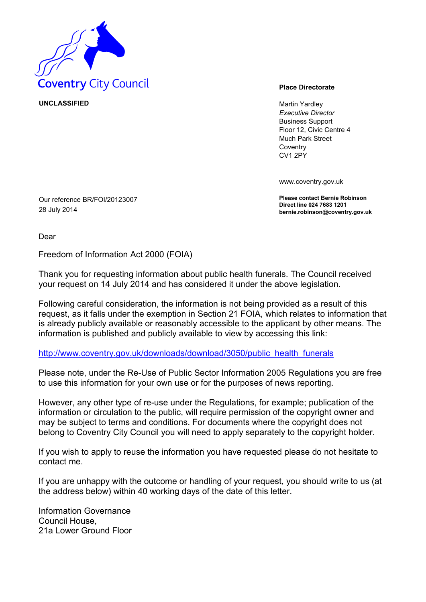

**UNCLASSIFIED** Martin Yardley

*Executive Director* Business Support Floor 12, Civic Centre 4 Much Park Street **Coventry** CV1 2PY

www.coventry.gov.uk

**Please contact Bernie Robinson Direct line 024 7683 1201 bernie.robinson@coventry.gov.uk**

28 July 2014

Our reference BR/FOI/20123007

Dear

Freedom of Information Act 2000 (FOIA)

Thank you for requesting information about public health funerals. The Council received your request on 14 July 2014 and has considered it under the above legislation.

Following careful consideration, the information is not being provided as a result of this request, as it falls under the exemption in Section 21 FOIA, which relates to information that is already publicly available or reasonably accessible to the applicant by other means. The information is published and publicly available to view by accessing this link:

## [http://www.coventry.gov.uk/downloads/download/3050/public health funerals](http://www.coventry.gov.uk/downloads/download/3050/public_health_funerals)

Please note, under the Re-Use of Public Sector Information 2005 Regulations you are free to use this information for your own use or for the purposes of news reporting.

However, any other type of re-use under the Regulations, for example; publication of the information or circulation to the public, will require permission of the copyright owner and may be subject to terms and conditions. For documents where the copyright does not belong to Coventry City Council you will need to apply separately to the copyright holder.

If you wish to apply to reuse the information you have requested please do not hesitate to contact me.

If you are unhappy with the outcome or handling of your request, you should write to us (at the address below) within 40 working days of the date of this letter.

Information Governance Council House, 21a Lower Ground Floor